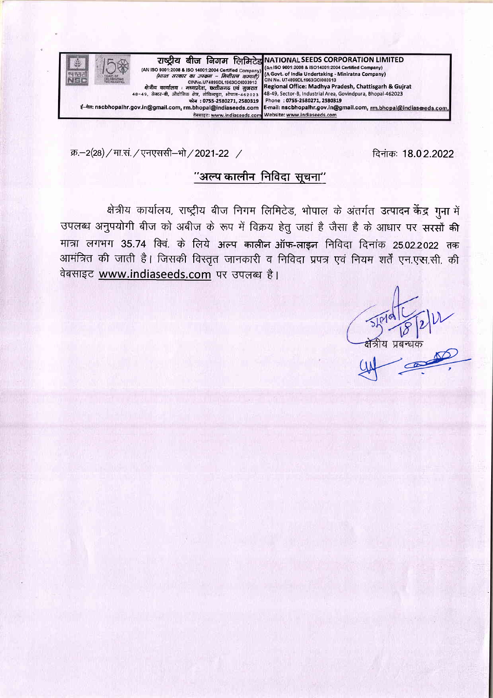

क्र.-2(28) / मा.सं. / एनएससी-भो / 2021-22 /

दिनांकः 18.02.2022

# "अल्प कालीन निविदा सूचना"

क्षेत्रीय कार्यालय, राष्ट्रीय बीज निगम लिमिटेड, भोपाल के अंतर्गत उत्पादन केंद्र गुना में उपलब्ध अनुपयोगी बीज को अबीज के रूप में विक्रय हेतु जहां है जैसा है के आधार पर सरसों की मात्रा लगभग 35.74 क्वि. के लिये अल्प कालीन ऑफ-लाइन निविदा दिनांक 25.02.2022 तक आमंत्रित की जाती है। जिसकी विस्तृत जानकारी व निविदा प्रपत्र एवं नियम शर्तें एन.एस.सी. की वेबसाइट www.indiaseeds.com पर उपलब्ध है।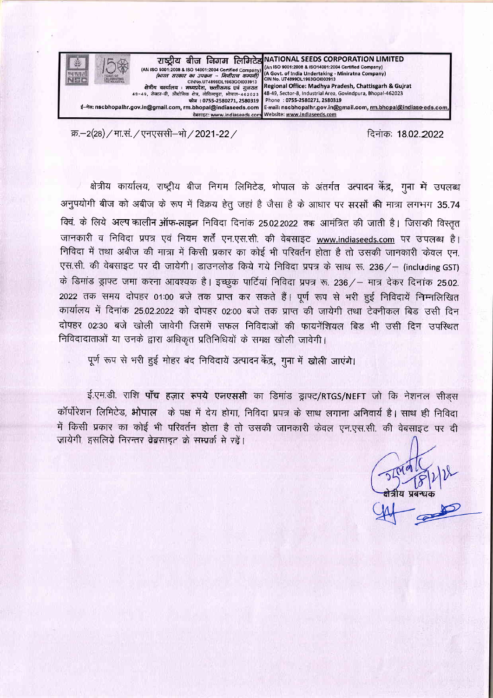

क्र.–2(28) / मा.सं. / एनएससी–भो / 2021-22 / function of the 71-quality of 2022 2022

क्षेत्रीय कार्यालय, राष्ट्रीय बीज निगम लिमिटेड, भोपाल के अंतर्गत उत्पादन केंद्र, गना <del>में</del> उपलब्ध अनुपयोगी बीज को अबीज के रूप में विक्रय हेतु जहां है जैसा है के आधार पर सरसों की मात्रा लगभग 35.74 क्विं. के लिये अल्प कालीन ऑफ-लाइन निविदा दिनांक 25.02.2022 तक आमंत्रित की जाती है। जिसकी विस्तृत जानकारी व निविदा प्रपत्र एवं नियम शर्तें एन.एस.सी. की वेबसाइट www.indiaseeds.com पर उपलब्ध है। निविदा में तथा अबीज की मात्रा में किसी प्रकार का कोई भी परिवर्तन होता है तो उसकी जानकारी केवल एन. एस.सी. की वेबसाइट पर दी जायेगी। डाउनलोड किये गये निविदा प्रपत्र के साथ रू. 236/- (including GST) के डिमांड ड्राफ्ट जमा करना आवश्यक है। इच्छुक पार्टियां निविदा प्रपत्र रू. 236/- मात्र देकर दिनांक 25.02. 2022 तक समय दोपहर 01:00 बजे तक प्राप्त कर सकते हैं। पूर्ण रूप से भरी हुई निविदायें निम्नलिखित कार्यालय में दिनांक 25.02.2022 को दोपहर 02:00 बजे तक प्राप्त की जायेगी तथा टेक्नीकल बिड उसी दिन दोपहर 02:30 बजे खोली जावेगी जिसमें सफल निविदाओं की फायनेंशियल बिड़ भी उसी दिन उपस्थित निविदादाताओं या उनके द्वारा अधिकृत प्रतिनिधियों के समक्ष खोली जावेगी।

पूर्ण रूप से भरी हुई मोहर बंद निविदायें उत्पादन केंद्र, गुना में खोली जाएंगे।

ई.एम.डी. राशि **पाँच हज़ार रूपये एनएससी** का डिमांड ड्राफ्ट/RTGS/NEFT जो कि नेशनल सीडस कॉर्पोरेशन लिमिटेड, भोपाल) के पक्ष में देय होगा, निविदा प्रपत्र के साथ लगाना अनिवार्य है। साथ ही निविदा में किसी प्रकार का कोई भी परिवर्तन होता है तो उसकी जानकारी केवल एन.एस.सी. की वेबसाइट पर दी जायेगी, इसलिये निरन्तर वेबसाइट के सम्पर्क से रहें।

 $\frac{1}{\sqrt{1-\frac{1}{1-\frac{1}{1-\frac{1}{1-\frac{1}{1-\frac{1}{1-\frac{1}{1-\frac{1}{1-\frac{1}{1-\frac{1}{1-\frac{1}{1-\frac{1}{1-\frac{1}{1-\frac{1}{1-\frac{1}{1-\frac{1}{1-\frac{1}{1-\frac{1}{1-\frac{1}{1-\frac{1}{1-\frac{1}{1-\frac{1}{1-\frac{1}{1-\frac{1}{1-\frac{1}{1-\frac{1}{1-\frac{1}{1-\frac{1}{1-\frac{1}{1-\frac{1}{1-\frac{1}{1-\frac{1}{1-\frac{1}{1-\frac{1}{1-\frac{1}{1-\frac{1}{1$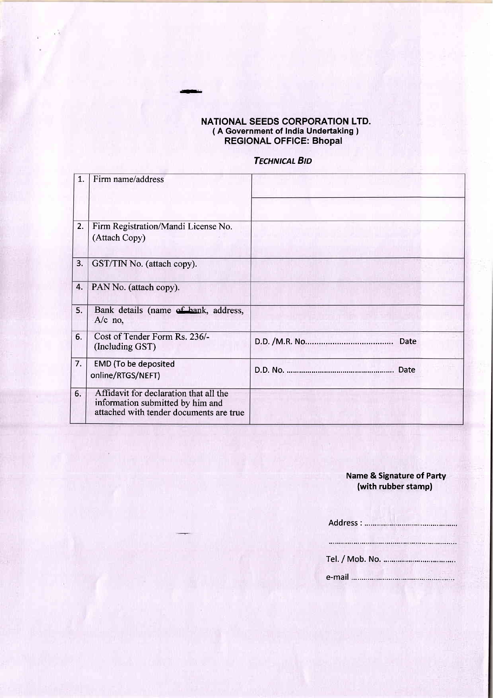#### NATIONAL SEEDS GORPORATION LTD. ( A Government of India Undertaking ) REGIONAL OFFIGE: Bhopal

\*

## **TECHNICAL BID**

| $\mathbf{1}$ | Firm name/address                                                                                                     |      |
|--------------|-----------------------------------------------------------------------------------------------------------------------|------|
| 2.           | Firm Registration/Mandi License No.<br>(Attach Copy)                                                                  |      |
| 3.           | GST/TIN No. (attach copy).                                                                                            |      |
| 4.           | PAN No. (attach copy).                                                                                                |      |
| 5.           | Bank details (name of bank, address,<br>$A/c$ no,                                                                     |      |
| 6.           | Cost of Tender Form Rs. 236/-<br>(Including GST)                                                                      | Date |
| 7.           | <b>EMD</b> (To be deposited<br>online/RTGS/NEFT)                                                                      |      |
| 6.           | Affidavit for declaration that all the<br>information submitted by him and<br>attached with tender documents are true |      |

### Name & Signature of Party (with rubber stamp)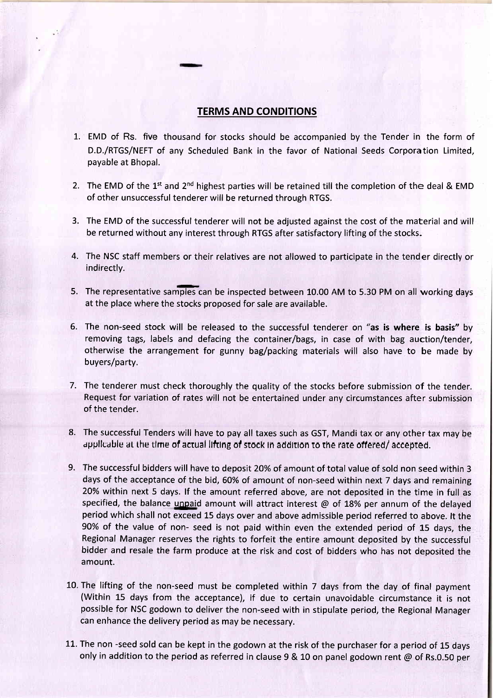## TERMS AND CONDITIONS

- 1. EMD of Rs. five thousand for stocks should be accompanied by the Tender in the form of D.D./RTGS/NEFT of any Scheduled Bank in the favor of National Seeds Corporation Limited, payable at Bhopal.
- 2. The EMD of the 1<sup>st</sup> and 2<sup>nd</sup> highest parties will be retained till the completion of the deal & EMD of other unsuccessful tenderer will be returned through RTGS.
- 3. The EMD of the successful tenderer will not be adjusted against the cost of the material and will be returned without any interest through RTGS after satisfactory lifting of the stocks.
- 4. The NSC staff members or their relatives are not allowed to participate in the tender directly or indirectly.
- 5. The representative samples can be inspected between 10.00 AM to 5.30 PM on all working days at the place where the stocks proposed for sale are available.
- 6. The non-seed stock will be released to the successful tenderer on "as is where is basis" by removing tags, labels and defacing the container/bags, in case of with bag auction/tender, otherwise the arrangement for gunny bag/packing materials will also have to be made by buyers/party.
- 7. The tenderer must check thoroughly the quality of the stocks before submission of the tender. Request for variation of rates will not be entertained under any circumstances after submission of the tender.
- The successful Tenders will have to pay all taxes such as GST, Mandi tax or any other tax may be 8. applicable at the time of actual lifting of stock in addition to the rate offered/ accepted.
- The successful bidders will have to deposit 20% of amount of total value of sold non seed within 3 9.days of the acceptance of the bid, 60% of amount of non-seed within next 7 days and remaining 20% within next 5 days. lf the amount referred above, are not deposited in the time in full as specified, the balance unpaid amount will attract interest  $@$  of 18% per annum of the delayed period which shall not exceed 15 days over and above admissible period referred to above. lt the 90% of the value of non- seed is not paid within even the extended period of L5 days, the Regional Manager reserves the rights to forfeit the entire amount deposited by the successful bidder and resale the farm produce at the risk and cost of bidders who has not deposited the amount.
- 10. The lifting of the non-seed must be completed within 7 days from the day of final payment (Within 15 days from the acceptance), if due to certain unavoidable circumstance it is not possible for NSC godown to deliver the non-seed with in stipulate period, the Regional Manager can enhance the delivery period as may be necessary.
- 11. The non -seed sold can be kept in the godown at the risk of the purchaser for a period of 15 days only in addition to the period as referred in clause 9 & 10 on panel godown rent  $\omega$  of Rs.0.50 per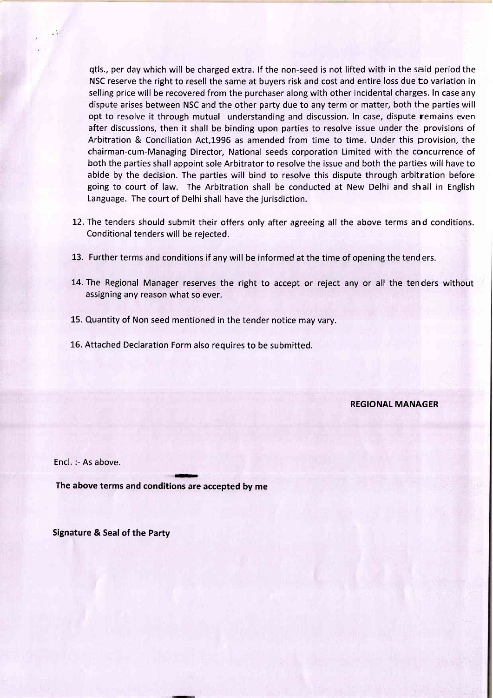qtls., per day which will be charged extra. lf the non-seed is not lifted with in the said period the NSC reserve the right to resell the same at buyers risk and cost and entire loss due to variation in selling price will be recovered from the purchaser along with other incidental charges. In case any dispute arises between NSC and the other party due to any term or matter, both the parties will opt to resolve it through mutual understanding and discussion. In case, dispute remains even after discussions, then it shall be binding upon parties to resolve issue under the provisions of Arbitration & Conciliation Act,1996 as amended from time to time. Under this provision, the chairman-cum-Managing Director, National seeds corporation Limited with the concurrence of both the parties shall appoint sole Arbitrator to resolve the issue and both the parties will have to abide by the decision. The parties will bind to resolve this dispute through arbitration before going to court of law. The Arbitration shall be conducted at New Delhi and shall in English Language. The court of Delhi shall have the jurisdiction.

- 12.The tenders should submit their offers only after agreeing all the above terms and conditions. Conditional tenders will be rejected.
- 13. Further terms and conditions if any will be informed at the time of opening the tend ers.
- 14. The Regional Manager reserves the right to accept or reject any or all the tenders without assigning any reason what so ever.
- 15. Quantity of Non seed mentioned in the tender notice may vary.
- 16. Attached Declaration Form also requires to be submitted.

REGIONAL MANAGER

Encl. :- As above.

The above terms and conditions are accepted by me

Signature & Seal of the Party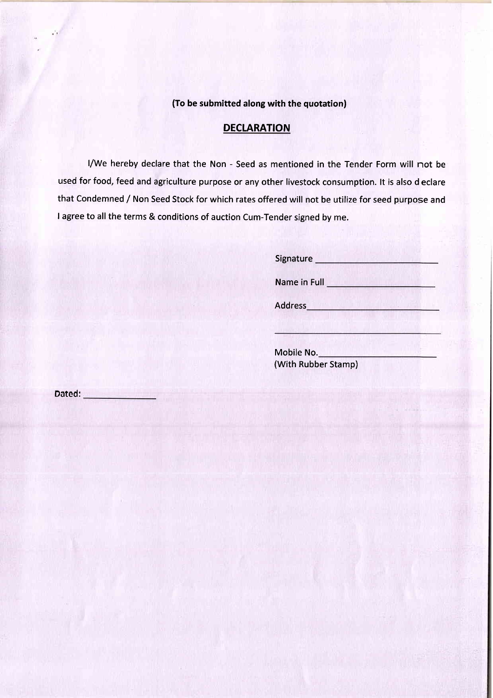### (To be submitted along with the quotation)

# **DECLARATION**

l/We hereby declare that the Non - Seed as mentioned in the Tender Form will not be used for food, feed and agriculture purpose or any other livestock consumption. lt is also d eclare that Condemned / Non Seed Stock for which rates offered will not be utilize for seed purpose and I agree to all the terms & conditions of auction Cum-Tender signed by me.

| Signature    |  |
|--------------|--|
| Name in Full |  |
| Address      |  |
|              |  |

Mobile No. (With Rubber Stamp)

Dated: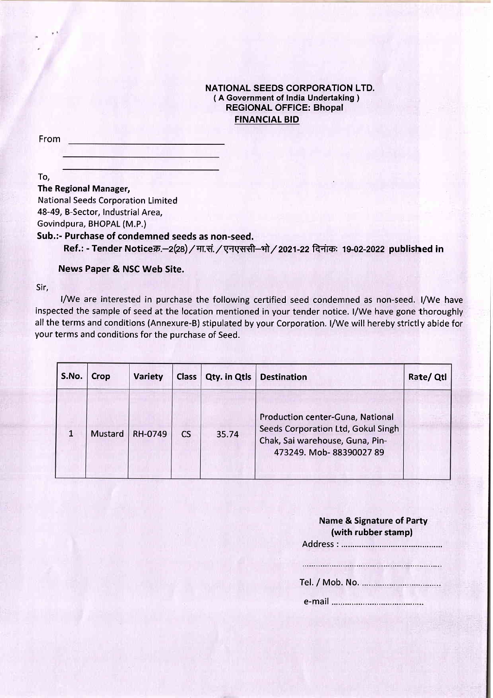### NATIONAL SEEDS CORPORATION LTD. (A Government of India Undertaking ) REGIONAL OFFICE: Bhopal **FINANCIAL BID**

From

To,

The Regional Manager,

National Seeds Corporation Limited 48-49, B-Sector, Industrial Area,

Govindpura, BHOPAL (M.P.)

Sub.:- Purchase of condemned seeds as non-seed.

Ref.: - Tender Noticeक्र.-2(28) / मा.सं. / एनएससी-भो / 2021-22 दिनांक: 19-02-2022 published in

### News Paper & NSC Web Site.

Sir,

l/We are interested in purchase the following certified seed condemned as non-seed. l/We have inspected the sample of seed at the location mentioned in your tender notice. l/We have gone thoroughly all the terms and conditions (Annexure-B) stipulated by your Corporation. I/We will hereby strictly abide for your terms and conditions for the purchase of Seed.

| S.No. | Crop           | Variety | Class | Qty. in Qtls | <b>Destination</b>                                                                                                                  | Rate/ Qtl |
|-------|----------------|---------|-------|--------------|-------------------------------------------------------------------------------------------------------------------------------------|-----------|
|       | <b>Mustard</b> | RH-0749 | CS    | 35.74        | Production center-Guna, National<br>Seeds Corporation Ltd, Gokul Singh<br>Chak, Sai warehouse, Guna, Pin-<br>473249. Mob-8839002789 |           |

| <b>Name &amp; Signature of Party</b> |
|--------------------------------------|
| (with rubber stamp)                  |